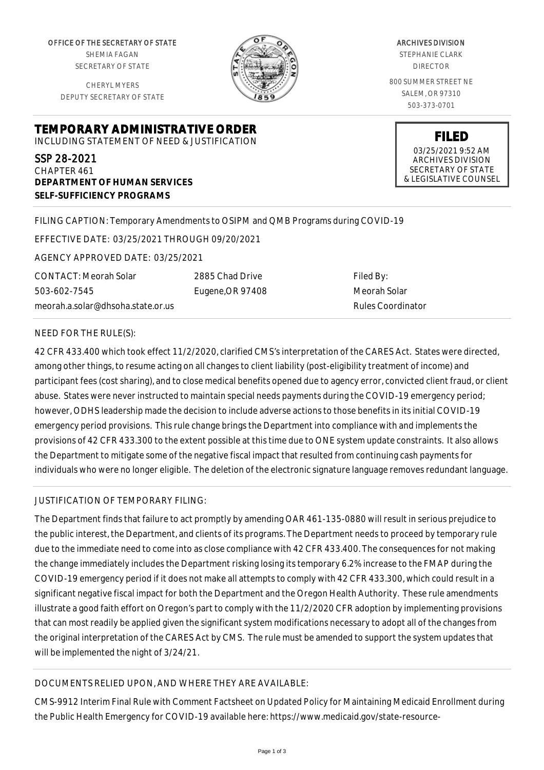OFFICE OF THE SECRETARY OF STATE SHEMIA FAGAN SECRETARY OF STATE

CHERYL MYERS DEPUTY SECRETARY OF STATE



ARCHIVES DIVISION STEPHANIE CLARK DIRECTOR 800 SUMMER STREET NE SALEM, OR 97310 503-373-0701

> **FILED** 03/25/2021 9:52 AM ARCHIVES DIVISION SECRETARY OF STATE & LEGISLATIVE COUNSEL

**TEMPORARY ADMINISTRATIVE ORDER** INCLUDING STATEMENT OF NEED & JUSTIFICATION

SSP 28-2021 CHAPTER 461 **DEPARTMENT OF HUMAN SERVICES SELF-SUFFICIENCY PROGRAMS**

# FILING CAPTION: Temporary Amendments to OSIPM and QMB Programs during COVID-19

EFFECTIVE DATE: 03/25/2021 THROUGH 09/20/2021

AGENCY APPROVED DATE: 03/25/2021

CONTACT: Meorah Solar 503-602-7545 meorah.a.solar@dhsoha.state.or.us 2885 Chad Drive Eugene,OR 97408

Filed By: Meorah Solar Rules Coordinator

## NEED FOR THE RULE(S):

42 CFR 433.400 which took effect 11/2/2020, clarified CMS's interpretation of the CARES Act. States were directed, among other things, to resume acting on all changes to client liability (post-eligibility treatment of income) and participant fees (cost sharing), and to close medical benefits opened due to agency error, convicted client fraud, or client abuse. States were never instructed to maintain special needs payments during the COVID-19 emergency period; however, ODHS leadership made the decision to include adverse actions to those benefits in its initial COVID-19 emergency period provisions. This rule change brings the Department into compliance with and implements the provisions of 42 CFR 433.300 to the extent possible at this time due to ONE system update constraints. It also allows the Department to mitigate some of the negative fiscal impact that resulted from continuing cash payments for individuals who were no longer eligible. The deletion of the electronic signature language removes redundant language.

## JUSTIFICATION OF TEMPORARY FILING:

The Department finds that failure to act promptly by amending OAR 461-135-0880 will result in serious prejudice to the public interest, the Department, and clients of its programs. The Department needs to proceed by temporary rule due to the immediate need to come into as close compliance with 42 CFR 433.400. The consequences for not making the change immediately includes the Department risking losing its temporary 6.2% increase to the FMAP during the COVID-19 emergency period if it does not make all attempts to comply with 42 CFR 433.300, which could result in a significant negative fiscal impact for both the Department and the Oregon Health Authority. These rule amendments illustrate a good faith effort on Oregon's part to comply with the 11/2/2020 CFR adoption by implementing provisions that can most readily be applied given the significant system modifications necessary to adopt all of the changes from the original interpretation of the CARES Act by CMS. The rule must be amended to support the system updates that will be implemented the night of 3/24/21.

# DOCUMENTS RELIED UPON, AND WHERE THEY ARE AVAILABLE:

CMS-9912 Interim Final Rule with Comment Factsheet on Updated Policy for Maintaining Medicaid Enrollment during the Public Health Emergency for COVID-19 available here: https://www.medicaid.gov/state-resource-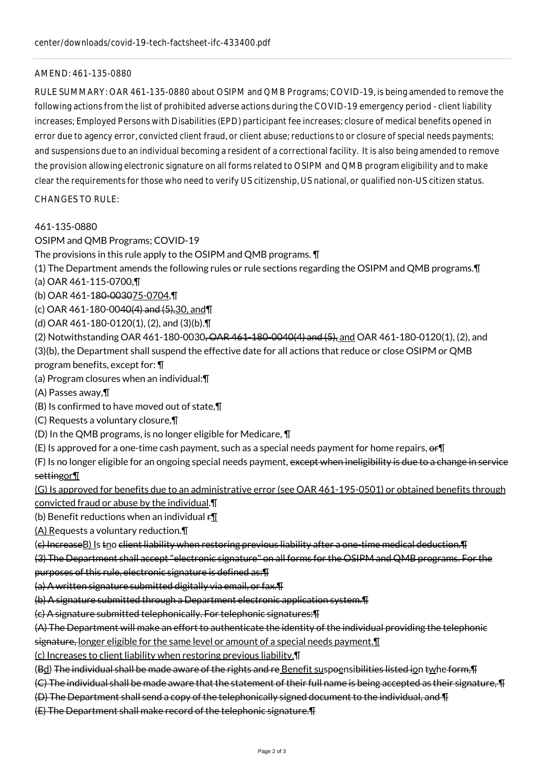### AMEND: 461-135-0880

RULE SUMMARY: OAR 461-135-0880 about OSIPM and QMB Programs; COVID-19, is being amended to remove the following actions from the list of prohibited adverse actions during the COVID-19 emergency period - client liability increases; Employed Persons with Disabilities (EPD) participant fee increases; closure of medical benefits opened in error due to agency error, convicted client fraud, or client abuse; reductions to or closure of special needs payments; and suspensions due to an individual becoming a resident of a correctional facility. It is also being amended to remove the provision allowing electronic signature on all forms related to OSIPM and QMB program eligibility and to make clear the requirements for those who need to verify US citizenship, US national, or qualified non-US citizen status.

 $CHANGFS TO RUIF$ 

### 461-135-0880

OSIPM and QMB Programs; COVID-19

The provisions in this rule apply to the OSIPM and QMB programs. ¶

(1) The Department amends the following rules or rule sections regarding the OSIPM and QMB programs.¶

(a) OAR 461-115-0700,¶

(b) OAR 461-180-003075-0704,¶

(c) OAR 461-180-0040(4) and (5),30, and¶

(d) OAR 461-180-0120(1), (2), and (3)(b).¶

(2) Notwithstanding OAR 461-180-0030<del>, OAR 461-180-0040(4) and (5),</del> and OAR 461-180-0120(1), (2), and

(3)(b), the Department shall suspend the effective date for all actions that reduce or close OSIPM or QMB

program benefits, except for: ¶

(a) Program closures when an individual:¶

(A) Passes away,¶

- (B) Is confirmed to have moved out of state,¶
- (C) Requests a voluntary closure,¶

(D) In the QMB programs, is no longer eligible for Medicare, ¶

(E) Is approved for a one-time cash payment, such as a special needs payment for home repairs,  $er\mathbb{T}$ 

(F) Is no longer eligible for an ongoing special needs payment, except when ineligibility is due to a change in service settingor¶

(G) Is approved for benefits due to an administrative error (see OAR 461-195-0501) or obtained benefits through convicted fraud or abuse by the individual.¶

(b) Benefit reductions when an individual  $\mathbf{f}$ 

(A) Requests a voluntary reduction.¶

(e) IncreaseB) Is tno client liability when restoring previous liability after a one-time medical deduction.¶

(3) The Department shall accept "electronic signature" on all forms for the OSIPM and QMB programs. For the

purposes of this rule, electronic signature is defined as:¶

(a) A written signature submitted digitally via email, or fax.¶

(b) A signature submitted through a Department electronic application system.¶

(c) A signature submitted telephonically. For telephonic signatures:¶

(A) The Department will make an effort to authenticate the identity of the individual providing the telephonic

signature, longer eligible for the same level or amount of a special needs payment.¶

(c) Increases to client liability when restoring previous liability.¶

(Bd) The individual shall be made aware of the rights and re Benefit suspoensibilities listed ion twhe form,¶

(C) The individual shall be made aware that the statement of their full name is being accepted as their signature, ¶

(D) The Department shall send a copy of the telephonically signed document to the individual, and ¶

(E) The Department shall make record of the telephonic signature.¶